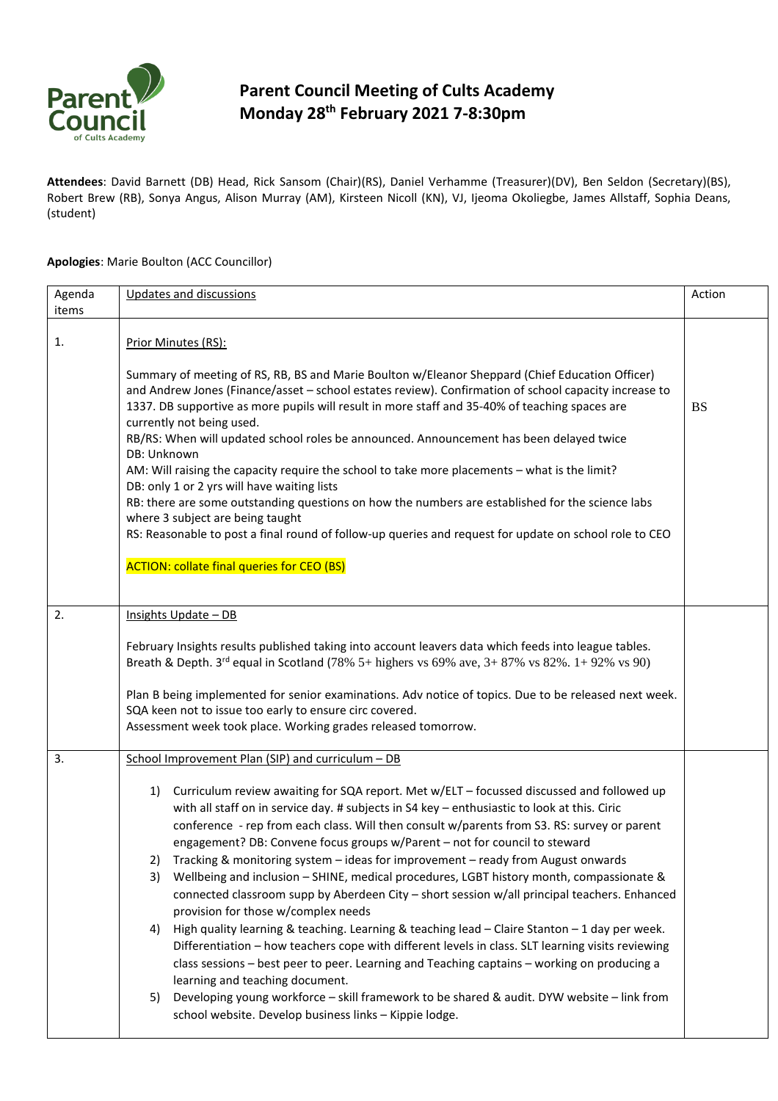

## **Parent Council Meeting of Cults Academy Monday 28th February 2021 7-8:30pm**

**Attendees**: David Barnett (DB) Head, Rick Sansom (Chair)(RS), Daniel Verhamme (Treasurer)(DV), Ben Seldon (Secretary)(BS), Robert Brew (RB), Sonya Angus, Alison Murray (AM), Kirsteen Nicoll (KN), VJ, Ijeoma Okoliegbe, James Allstaff, Sophia Deans, (student)

## **Apologies**: Marie Boulton (ACC Councillor)

| Agenda | Updates and discussions                                                                                                                                                                                                                                                                                                                                                                                                                                                                                                                                                                                                                                                                                                                                                                                                                                                                                  | Action    |
|--------|----------------------------------------------------------------------------------------------------------------------------------------------------------------------------------------------------------------------------------------------------------------------------------------------------------------------------------------------------------------------------------------------------------------------------------------------------------------------------------------------------------------------------------------------------------------------------------------------------------------------------------------------------------------------------------------------------------------------------------------------------------------------------------------------------------------------------------------------------------------------------------------------------------|-----------|
| items  |                                                                                                                                                                                                                                                                                                                                                                                                                                                                                                                                                                                                                                                                                                                                                                                                                                                                                                          |           |
| 1.     | Prior Minutes (RS):                                                                                                                                                                                                                                                                                                                                                                                                                                                                                                                                                                                                                                                                                                                                                                                                                                                                                      |           |
|        | Summary of meeting of RS, RB, BS and Marie Boulton w/Eleanor Sheppard (Chief Education Officer)<br>and Andrew Jones (Finance/asset - school estates review). Confirmation of school capacity increase to<br>1337. DB supportive as more pupils will result in more staff and 35-40% of teaching spaces are<br>currently not being used.<br>RB/RS: When will updated school roles be announced. Announcement has been delayed twice<br>DB: Unknown<br>AM: Will raising the capacity require the school to take more placements - what is the limit?<br>DB: only 1 or 2 yrs will have waiting lists<br>RB: there are some outstanding questions on how the numbers are established for the science labs<br>where 3 subject are being taught<br>RS: Reasonable to post a final round of follow-up queries and request for update on school role to CEO<br><b>ACTION: collate final queries for CEO (BS)</b> | <b>BS</b> |
| 2.     | Insights Update - DB                                                                                                                                                                                                                                                                                                                                                                                                                                                                                                                                                                                                                                                                                                                                                                                                                                                                                     |           |
|        |                                                                                                                                                                                                                                                                                                                                                                                                                                                                                                                                                                                                                                                                                                                                                                                                                                                                                                          |           |
|        | February Insights results published taking into account leavers data which feeds into league tables.<br>Breath & Depth. $3^{rd}$ equal in Scotland (78% 5+ highers vs 69% ave, $3+87%$ vs 82%. $1+92%$ vs 90)                                                                                                                                                                                                                                                                                                                                                                                                                                                                                                                                                                                                                                                                                            |           |
|        | Plan B being implemented for senior examinations. Adv notice of topics. Due to be released next week.                                                                                                                                                                                                                                                                                                                                                                                                                                                                                                                                                                                                                                                                                                                                                                                                    |           |
|        | SQA keen not to issue too early to ensure circ covered.<br>Assessment week took place. Working grades released tomorrow.                                                                                                                                                                                                                                                                                                                                                                                                                                                                                                                                                                                                                                                                                                                                                                                 |           |
|        |                                                                                                                                                                                                                                                                                                                                                                                                                                                                                                                                                                                                                                                                                                                                                                                                                                                                                                          |           |
| 3.     | School Improvement Plan (SIP) and curriculum - DB                                                                                                                                                                                                                                                                                                                                                                                                                                                                                                                                                                                                                                                                                                                                                                                                                                                        |           |
|        | Curriculum review awaiting for SQA report. Met w/ELT - focussed discussed and followed up<br>1)<br>with all staff on in service day. # subjects in S4 key - enthusiastic to look at this. Ciric<br>conference - rep from each class. Will then consult w/parents from S3. RS: survey or parent<br>engagement? DB: Convene focus groups w/Parent - not for council to steward<br>Tracking & monitoring system - ideas for improvement - ready from August onwards<br>2)                                                                                                                                                                                                                                                                                                                                                                                                                                   |           |
|        | Wellbeing and inclusion - SHINE, medical procedures, LGBT history month, compassionate &<br>3)<br>connected classroom supp by Aberdeen City - short session w/all principal teachers. Enhanced                                                                                                                                                                                                                                                                                                                                                                                                                                                                                                                                                                                                                                                                                                           |           |
|        | provision for those w/complex needs<br>High quality learning & teaching. Learning & teaching lead - Claire Stanton - 1 day per week.<br>4)<br>Differentiation - how teachers cope with different levels in class. SLT learning visits reviewing<br>class sessions - best peer to peer. Learning and Teaching captains - working on producing a<br>learning and teaching document.                                                                                                                                                                                                                                                                                                                                                                                                                                                                                                                        |           |
|        | Developing young workforce - skill framework to be shared & audit. DYW website - link from<br>5)<br>school website. Develop business links - Kippie lodge.                                                                                                                                                                                                                                                                                                                                                                                                                                                                                                                                                                                                                                                                                                                                               |           |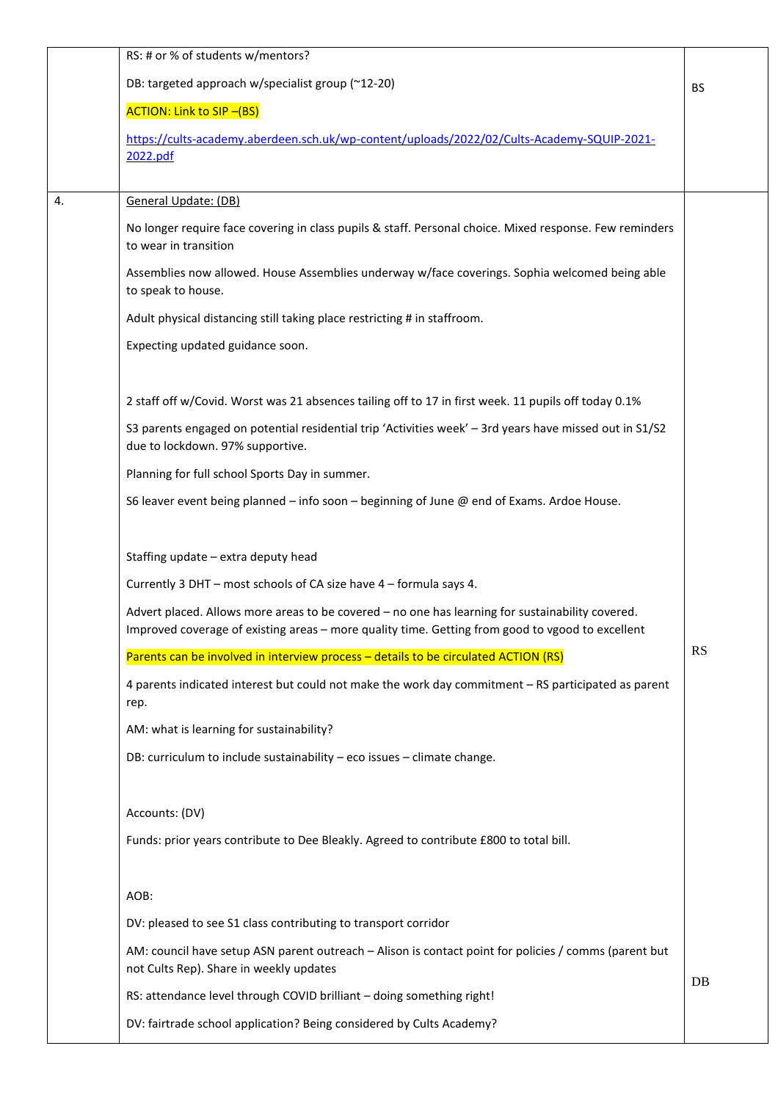|    | RS: # or % of students w/mentors?                                                                                                                |           |
|----|--------------------------------------------------------------------------------------------------------------------------------------------------|-----------|
|    | DB: targeted approach w/specialist group (~12-20)                                                                                                | <b>BS</b> |
|    | <b>ACTION: Link to SIP-(BS)</b>                                                                                                                  |           |
|    | https://cults-academy.aberdeen.sch.uk/wp-content/uploads/2022/02/Cults-Academy-SQUIP-2021-                                                       |           |
|    | 2022.pdf                                                                                                                                         |           |
| 4. | General Update: (DB)                                                                                                                             |           |
|    | No longer require face covering in class pupils & staff. Personal choice. Mixed response. Few reminders<br>to wear in transition                 |           |
|    | Assemblies now allowed. House Assemblies underway w/face coverings. Sophia welcomed being able<br>to speak to house.                             |           |
|    | Adult physical distancing still taking place restricting # in staffroom.                                                                         |           |
|    | Expecting updated guidance soon.                                                                                                                 |           |
|    |                                                                                                                                                  |           |
|    | 2 staff off w/Covid. Worst was 21 absences tailing off to 17 in first week. 11 pupils off today 0.1%                                             |           |
|    | S3 parents engaged on potential residential trip 'Activities week' - 3rd years have missed out in S1/S2<br>due to lockdown. 97% supportive.      |           |
|    | Planning for full school Sports Day in summer.                                                                                                   |           |
|    | S6 leaver event being planned - info soon - beginning of June @ end of Exams. Ardoe House.                                                       |           |
|    | Staffing update - extra deputy head                                                                                                              |           |
|    | Currently 3 DHT - most schools of CA size have 4 - formula says 4.                                                                               |           |
|    | Advert placed. Allows more areas to be covered - no one has learning for sustainability covered.                                                 |           |
|    | Improved coverage of existing areas - more quality time. Getting from good to vgood to excellent                                                 |           |
|    | Parents can be involved in interview process - details to be circulated ACTION (RS)                                                              | <b>RS</b> |
|    | 4 parents indicated interest but could not make the work day commitment - RS participated as parent<br>rep.                                      |           |
|    | AM: what is learning for sustainability?                                                                                                         |           |
|    | DB: curriculum to include sustainability - eco issues - climate change.                                                                          |           |
|    | Accounts: (DV)                                                                                                                                   |           |
|    | Funds: prior years contribute to Dee Bleakly. Agreed to contribute £800 to total bill.                                                           |           |
|    | AOB:                                                                                                                                             |           |
|    | DV: pleased to see S1 class contributing to transport corridor                                                                                   |           |
|    | AM: council have setup ASN parent outreach - Alison is contact point for policies / comms (parent but<br>not Cults Rep). Share in weekly updates |           |
|    | RS: attendance level through COVID brilliant - doing something right!                                                                            | DB        |
|    | DV: fairtrade school application? Being considered by Cults Academy?                                                                             |           |
|    |                                                                                                                                                  |           |